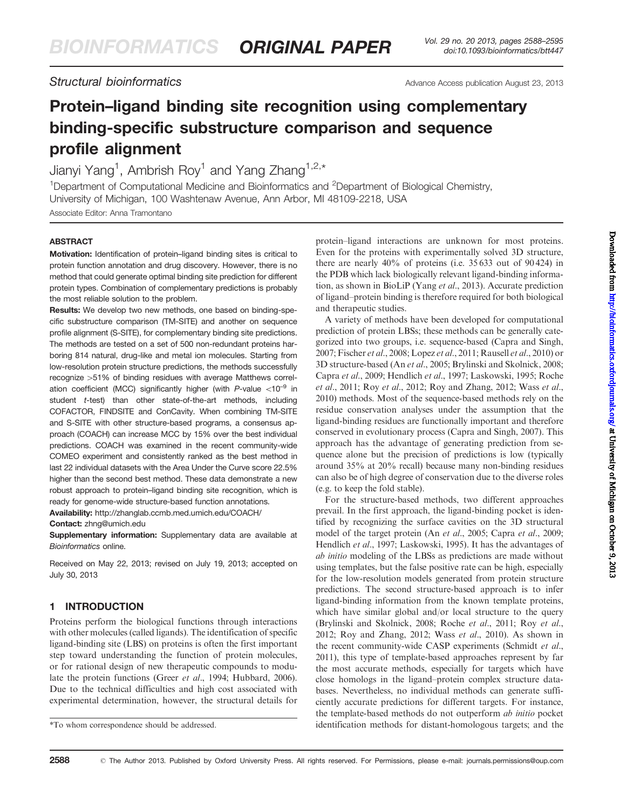Structural bioinformatics Advance Access publication August 23, 2013

# Protein–ligand binding site recognition using complementary binding-specific substructure comparison and sequence profile alignment

Jianyi Yang<sup>1</sup>, Ambrish Roy<sup>1</sup> and Yang Zhang<sup>1,2,\*</sup>

<sup>1</sup>Department of Computational Medicine and Bioinformatics and <sup>2</sup>Department of Biological Chemistry, University of Michigan, 100 Washtenaw Avenue, Ann Arbor, MI 48109-2218, USA

Associate Editor: Anna Tramontano

# ABSTRACT

Motivation: Identification of protein–ligand binding sites is critical to protein function annotation and drug discovery. However, there is no method that could generate optimal binding site prediction for different protein types. Combination of complementary predictions is probably the most reliable solution to the problem.

Results: We develop two new methods, one based on binding-specific substructure comparison (TM-SITE) and another on sequence profile alignment (S-SITE), for complementary binding site predictions. The methods are tested on a set of 500 non-redundant proteins harboring 814 natural, drug-like and metal ion molecules. Starting from low-resolution protein structure predictions, the methods successfully recognize >51% of binding residues with average Matthews correlation coefficient (MCC) significantly higher (with  $P$ -value  $< 10^{-9}$  in student t-test) than other state-of-the-art methods, including COFACTOR, FINDSITE and ConCavity. When combining TM-SITE and S-SITE with other structure-based programs, a consensus approach (COACH) can increase MCC by 15% over the best individual predictions. COACH was examined in the recent community-wide COMEO experiment and consistently ranked as the best method in last 22 individual datasets with the Area Under the Curve score 22.5% higher than the second best method. These data demonstrate a new robust approach to protein–ligand binding site recognition, which is ready for genome-wide structure-based function annotations.

Availability: http://zhanglab.ccmb.med.umich.edu/COACH/ Contact: zhng@umich.edu

Supplementary information: Supplementary data are available at Bioinformatics online.

Received on May 22, 2013; revised on July 19, 2013; accepted on July 30, 2013

# 1 INTRODUCTION

Proteins perform the biological functions through interactions with other molecules (called ligands). The identification of specific ligand-binding site (LBS) on proteins is often the first important step toward understanding the function of protein molecules, or for rational design of new therapeutic compounds to modulate the protein functions (Greer et al.[, 1994](#page-7-0); [Hubbard, 2006](#page-7-0)). Due to the technical difficulties and high cost associated with experimental determination, however, the structural details for protein–ligand interactions are unknown for most proteins. Even for the proteins with experimentally solved 3D structure, there are nearly 40% of proteins (i.e. 35 633 out of 90 424) in the PDB which lack biologically relevant ligand-binding information, as shown in BioLiP (Yang et al.[, 2013\)](#page-7-0). Accurate prediction of ligand–protein binding is therefore required for both biological and therapeutic studies.

A variety of methods have been developed for computational prediction of protein LBSs; these methods can be generally categorized into two groups, i.e. sequence-based [\(Capra and Singh,](#page-7-0) [2007; Fischer](#page-7-0) *et al.*, 2008; [Lopez](#page-7-0) *et al.*, 2011; [Rausell](#page-7-0) *et al.*, 2010) or 3D structure-based (An et al.[, 2005](#page-7-0); [Brylinski and Skolnick, 2008](#page-7-0); [Capra](#page-7-0) et al., 2009; [Hendlich](#page-7-0) et al., 1997; [Laskowski, 1995; Roche](#page-7-0) et al.[, 2011;](#page-7-0) Roy et al.[, 2012](#page-7-0); [Roy and Zhang, 2012; Wass](#page-7-0) et al., [2010\)](#page-7-0) methods. Most of the sequence-based methods rely on the residue conservation analyses under the assumption that the ligand-binding residues are functionally important and therefore conserved in evolutionary process [\(Capra and Singh, 2007](#page-7-0)). This approach has the advantage of generating prediction from sequence alone but the precision of predictions is low (typically around 35% at 20% recall) because many non-binding residues can also be of high degree of conservation due to the diverse roles (e.g. to keep the fold stable).

For the structure-based methods, two different approaches prevail. In the first approach, the ligand-binding pocket is identified by recognizing the surface cavities on the 3D structural model of the target protein (An *et al.*[, 2005](#page-7-0); [Capra](#page-7-0) *et al.*, 2009; [Hendlich](#page-7-0) et al., 1997; [Laskowski, 1995\)](#page-7-0). It has the advantages of ab initio modeling of the LBSs as predictions are made without using templates, but the false positive rate can be high, especially for the low-resolution models generated from protein structure predictions. The second structure-based approach is to infer ligand-binding information from the known template proteins, which have similar global and/or local structure to the query [\(Brylinski and Skolnick, 2008; Roche](#page-7-0) et al., 2011; Roy [et al.](#page-7-0), [2012; Roy and Zhang, 2012](#page-7-0); Wass et al.[, 2010\)](#page-7-0). As shown in the recent community-wide CASP experiments [\(Schmidt](#page-7-0) et al., [2011\)](#page-7-0), this type of template-based approaches represent by far the most accurate methods, especially for targets which have close homologs in the ligand–protein complex structure databases. Nevertheless, no individual methods can generate sufficiently accurate predictions for different targets. For instance, the template-based methods do not outperform ab initio pocket \*To whom correspondence should be addressed. identification methods for distant-homologous targets; and the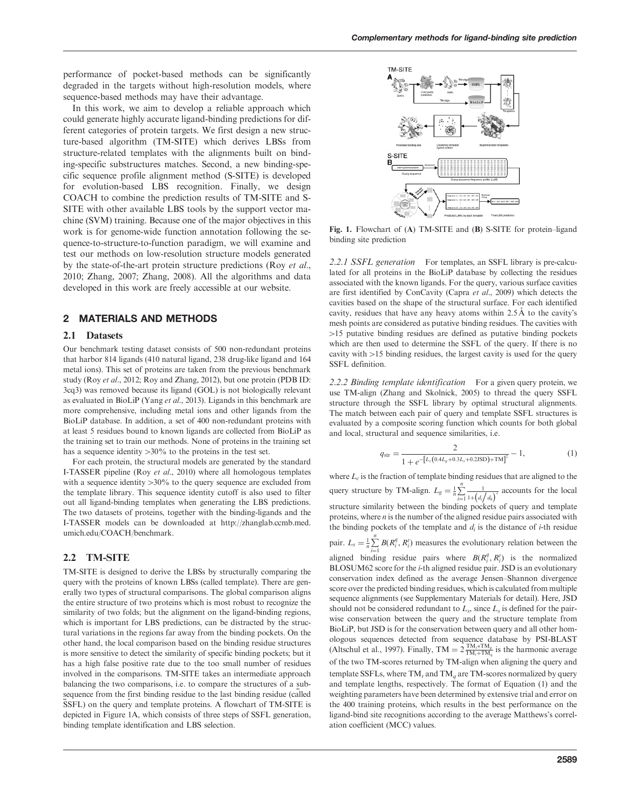<span id="page-1-0"></span>performance of pocket-based methods can be significantly degraded in the targets without high-resolution models, where sequence-based methods may have their advantage.

In this work, we aim to develop a reliable approach which could generate highly accurate ligand-binding predictions for different categories of protein targets. We first design a new structure-based algorithm (TM-SITE) which derives LBSs from structure-related templates with the alignments built on binding-specific substructures matches. Second, a new binding-specific sequence profile alignment method (S-SITE) is developed for evolution-based LBS recognition. Finally, we design COACH to combine the prediction results of TM-SITE and S-SITE with other available LBS tools by the support vector machine (SVM) training. Because one of the major objectives in this work is for genome-wide function annotation following the sequence-to-structure-to-function paradigm, we will examine and test our methods on low-resolution structure models generated by the state-of-the-art protein structure predictions (Roy [et al.](#page-7-0), [2010](#page-7-0); [Zhang, 2007](#page-7-0); [Zhang, 2008\)](#page-7-0). All the algorithms and data developed in this work are freely accessible at our website.

# 2 MATERIALS AND METHODS

### 2.1 Datasets

Our benchmark testing dataset consists of 500 non-redundant proteins that harbor 814 ligands (410 natural ligand, 238 drug-like ligand and 164 metal ions). This set of proteins are taken from the previous benchmark study (Roy et al.[, 2012](#page-7-0); [Roy and Zhang, 2012\)](#page-7-0), but one protein (PDB ID: 3cq3) was removed because its ligand (GOL) is not biologically relevant as evaluated in BioLiP (Yang et al.[, 2013\)](#page-7-0). Ligands in this benchmark are more comprehensive, including metal ions and other ligands from the BioLiP database. In addition, a set of 400 non-redundant proteins with at least 5 residues bound to known ligands are collected from BioLiP as the training set to train our methods. None of proteins in the training set has a sequence identity  $>30\%$  to the proteins in the test set.

For each protein, the structural models are generated by the standard I-TASSER pipeline (Roy et al.[, 2010](#page-7-0)) where all homologous templates with a sequence identity  $>30\%$  to the query sequence are excluded from the template library. This sequence identity cutoff is also used to filter out all ligand-binding templates when generating the LBS predictions. The two datasets of proteins, together with the binding-ligands and the I-TASSER models can be downloaded at http://zhanglab.ccmb.med. umich.edu/COACH/benchmark.

#### 2.2 TM-SITE

TM-SITE is designed to derive the LBSs by structurally comparing the query with the proteins of known LBSs (called template). There are generally two types of structural comparisons. The global comparison aligns the entire structure of two proteins which is most robust to recognize the similarity of two folds; but the alignment on the ligand-binding regions, which is important for LBS predictions, can be distracted by the structural variations in the regions far away from the binding pockets. On the other hand, the local comparison based on the binding residue structures is more sensitive to detect the similarity of specific binding pockets; but it has a high false positive rate due to the too small number of residues involved in the comparisons. TM-SITE takes an intermediate approach balancing the two comparisons, i.e. to compare the structures of a subsequence from the first binding residue to the last binding residue (called SSFL) on the query and template proteins. A flowchart of TM-SITE is depicted in Figure 1A, which consists of three steps of SSFL generation, binding template identification and LBS selection.



Fig. 1. Flowchart of (A) TM-SITE and (B) S-SITE for protein–ligand binding site prediction

2.2.1 SSFL generation For templates, an SSFL library is pre-calculated for all proteins in the BioLiP database by collecting the residues associated with the known ligands. For the query, various surface cavities are first identified by ConCavity (Capra et al.[, 2009\)](#page-7-0) which detects the cavities based on the shape of the structural surface. For each identified cavity, residues that have any heavy atoms within  $2.5 \text{ Å}$  to the cavity's mesh points are considered as putative binding residues. The cavities with  $>15$  putative binding residues are defined as putative binding pockets which are then used to determine the SSFL of the query. If there is no cavity with  $>15$  binding residues, the largest cavity is used for the query SSFL definition.

2.2.2 Binding template identification For a given query protein, we use TM-align [\(Zhang and Skolnick, 2005](#page-7-0)) to thread the query SSFL structure through the SSFL library by optimal structural alignments. The match between each pair of query and template SSFL structures is evaluated by a composite scoring function which counts for both global and local, structural and sequence similarities, i.e.

$$
q_{\rm str} = \frac{2}{1 + e^{-\left[L_c(0.4L_s + 0.3L_s + 0.2JSD) + TM\right]^2}} - 1, \tag{1}
$$

where  $L_c$  is the fraction of template binding residues that are aligned to the query structure by TM-align.  $L_g = \frac{1}{n} \sum_{n=1}^{n}$  $i=1$ 1  $\frac{1}{1+\left(d_i/d_0\right)^2}$  accounts for the local structure similarity between the binding pockets of query and template proteins, where  $n$  is the number of the aligned residue pairs associated with the binding pockets of the template and  $d_i$  is the distance of *i*-th residue pair.  $L_s = \frac{1}{n} \sum_{i=1}^{n} B(R_i^g, R_i^t)$  measures the evolutionary relation between the aligned binding residue pairs where  $B(R_i^q, R_i^t)$  is the normalized BLOSUM62 score for the i-th aligned residue pair. JSD is an evolutionary conservation index defined as the average Jensen–Shannon divergence score over the predicted binding residues, which is calculated from multiple sequence alignments (see Supplementary Materials for detail). Here, JSD should not be considered redundant to  $L_s$ , since  $L_s$  is defined for the pairwise conservation between the query and the structure template from BioLiP, but JSD is for the conservation between query and all other homologous sequences detected from sequence database by PSI-BLAST [\(Altschul et al., 1997\)](#page-7-0). Finally, TM =  $2 \frac{TM_t * TM_q}{TM_t + TM_q}$  is the harmonic average of the two TM-scores returned by TM-align when aligning the query and template SSFLs, where  $TM_t$  and  $TM_a$  are TM-scores normalized by query and template lengths, respectively. The format of Equation (1) and the weighting parameters have been determined by extensive trial and error on the 400 training proteins, which results in the best performance on the ligand-bind site recognitions according to the average Matthews's correlation coefficient (MCC) values.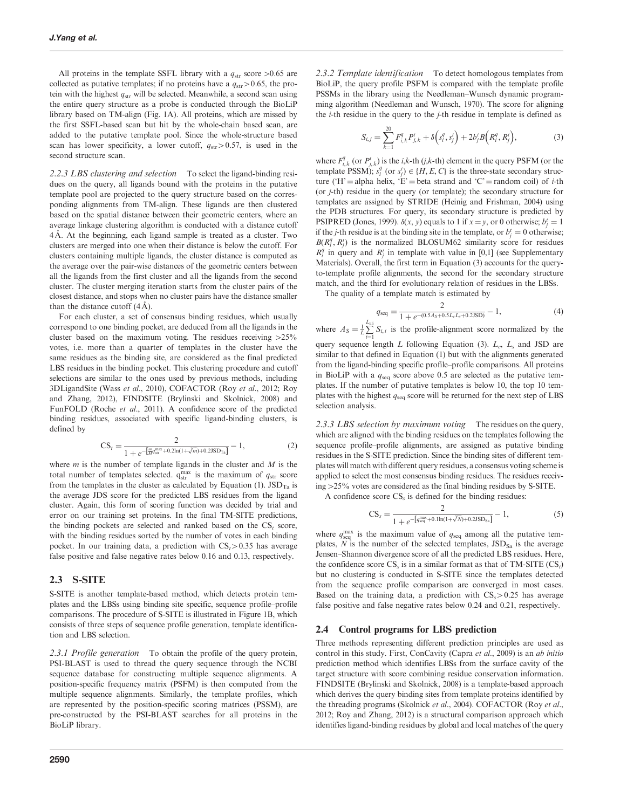<span id="page-2-0"></span>All proteins in the template SSFL library with a  $q_{str}$  score >0.65 are collected as putative templates; if no proteins have a  $q_{str}$  > 0.65, the protein with the highest  $q_{str}$  will be selected. Meanwhile, a second scan using the entire query structure as a probe is conducted through the BioLiP library based on TM-align ([Fig. 1A](#page-1-0)). All proteins, which are missed by the first SSFL-based scan but hit by the whole-chain based scan, are added to the putative template pool. Since the whole-structure based scan has lower specificity, a lower cutoff,  $q_{str} > 0.57$ , is used in the second structure scan.

2.2.3 LBS clustering and selection To select the ligand-binding residues on the query, all ligands bound with the proteins in the putative template pool are projected to the query structure based on the corresponding alignments from TM-align. These ligands are then clustered based on the spatial distance between their geometric centers, where an average linkage clustering algorithm is conducted with a distance cutoff 4 Å. At the beginning, each ligand sample is treated as a cluster. Two clusters are merged into one when their distance is below the cutoff. For clusters containing multiple ligands, the cluster distance is computed as the average over the pair-wise distances of the geometric centers between all the ligands from the first cluster and all the ligands from the second cluster. The cluster merging iteration starts from the cluster pairs of the closest distance, and stops when no cluster pairs have the distance smaller than the distance cutoff  $(4 \text{ Å})$ .

For each cluster, a set of consensus binding residues, which usually correspond to one binding pocket, are deduced from all the ligands in the cluster based on the maximum voting. The residues receiving  $>25\%$ votes, i.e. more than a quarter of templates in the cluster have the same residues as the binding site, are considered as the final predicted LBS residues in the binding pocket. This clustering procedure and cutoff selections are similar to the ones used by previous methods, including 3DLigandSite (Wass et al.[, 2010\)](#page-7-0), COFACTOR (Roy et al.[, 2012](#page-7-0); [Roy](#page-7-0) [and Zhang, 2012](#page-7-0)), FINDSITE [\(Brylinski and Skolnick, 2008](#page-7-0)) and FunFOLD (Roche et al.[, 2011](#page-7-0)). A confidence score of the predicted binding residues, associated with specific ligand-binding clusters, is defined by

$$
CS_t = \frac{2}{1 + e^{-\left[\frac{mqm\pi}{Mq\sin} + 0.2\ln(1 + \sqrt[3]{m}) + 0.215D_{\text{Ta}}\right]}} - 1, \tag{2}
$$

where  $m$  is the number of template ligands in the cluster and  $M$  is the total number of templates selected.  $q_{str}^{max}$  is the maximum of  $q_{str}$  score from the templates in the cluster as calculated by [Equation \(1\)](#page-1-0).  $\text{JSD}_{\text{Ta}}$  is the average JDS score for the predicted LBS residues from the ligand cluster. Again, this form of scoring function was decided by trial and error on our training set proteins. In the final TM-SITE predictions, the binding pockets are selected and ranked based on the  $CS<sub>t</sub>$  score, with the binding residues sorted by the number of votes in each binding pocket. In our training data, a prediction with  $CS<sub>t</sub> > 0.35$  has average false positive and false negative rates below 0.16 and 0.13, respectively.

#### 2.3 S-SITE

S-SITE is another template-based method, which detects protein templates and the LBSs using binding site specific, sequence profile–profile comparisons. The procedure of S-SITE is illustrated in [Figure 1](#page-1-0)B, which consists of three steps of sequence profile generation, template identification and LBS selection.

2.3.1 Profile generation To obtain the profile of the query protein, PSI-BLAST is used to thread the query sequence through the NCBI sequence database for constructing multiple sequence alignments. A position-specific frequency matrix (PSFM) is then computed from the multiple sequence alignments. Similarly, the template profiles, which are represented by the position-specific scoring matrices (PSSM), are pre-constructed by the PSI-BLAST searches for all proteins in the BioLiP library.

2.3.2 Template identification To detect homologous templates from BioLiP, the query profile PSFM is compared with the template profile PSSMs in the library using the Needleman–Wunsch dynamic programming algorithm ([Needleman and Wunsch, 1970\)](#page-7-0). The score for aligning the  $i$ -th residue in the query to the  $j$ -th residue in template is defined as

$$
S_{i,j} = \sum_{k=1}^{20} F_{i,k}^q P_{j,k}^t + \delta \left( s_i^q, s_j^t \right) + 2b_j^t B \left( R_i^q, R_j^t \right), \tag{3}
$$

where  $F_{i,k}^q$  (or  $P_{j,k}^t$ ) is the *i*,*k*-th (*j*,*k*-th) element in the query PSFM (or the template PSSM);  $s_i^q$  (or  $s_j^t$ )  $\in \{H, E, C\}$  is the three-state secondary structure ('H' = alpha helix, 'E' = beta strand and 'C' = random coil) of *i*-th (or j-th) residue in the query (or template); the secondary structure for templates are assigned by STRIDE [\(Heinig and Frishman, 2004](#page-7-0)) using the PDB structures. For query, its secondary structure is predicted by PSIPRED [\(Jones, 1999](#page-7-0)).  $\delta(x, y)$  equals to 1 if  $x = y$ , or 0 otherwise;  $b_j^t = 1$ if the *j*-th residue is at the binding site in the template, or  $b_j^t = 0$  otherwise;  $B(R_i^q, R_j^t)$  is the normalized BLOSUM62 similarity score for residues  $R_i^q$  in query and  $R_j^t$  in template with value in [0,1] (see Supplementary Materials). Overall, the first term in Equation (3) accounts for the queryto-template profile alignments, the second for the secondary structure match, and the third for evolutionary relation of residues in the LBSs.

The quality of a template match is estimated by

$$
q_{\text{seq}} = \frac{2}{1 + e^{-(0.5A_S + 0.5L_cL_s + 0.2JSD)}} - 1,\tag{4}
$$

where  $A_S = \frac{1}{L} \sum_{i=1}^{L_{\text{all}}}$  $\sum_{i=1}$   $S_{i,i}$  is the profile-alignment score normalized by the query sequence length L following Equation (3).  $L_c$ ,  $L_s$  and JSD are similar to that defined in [Equation \(1\)](#page-1-0) but with the alignments generated from the ligand-binding specific profile–profile comparisons. All proteins in BioLiP with a  $q_{seq}$  score above 0.5 are selected as the putative templates. If the number of putative templates is below 10, the top 10 templates with the highest  $q_{seq}$  score will be returned for the next step of LBS selection analysis.

2.3.3 LBS selection by maximum voting The residues on the query, which are aligned with the binding residues on the templates following the sequence profile–profile alignments, are assigned as putative binding residues in the S-SITE prediction. Since the binding sites of different templates will match with different query residues, a consensus voting scheme is applied to select the most consensus binding residues. The residues receiving  $>25\%$  votes are considered as the final binding residues by S-SITE.

A confidence score  $CS_s$  is defined for the binding residues:

$$
CS_s = \frac{2}{1 + e^{-\left[q_{\text{seq}}^{\text{max}} + 0.1 \ln(1 + \sqrt[3]{N}) + 0.2 J S D_{\text{Sa}}\right]}} - 1, \tag{5}
$$

where  $q_{\text{seq}}^{\text{max}}$  is the maximum value of  $q_{\text{seq}}$  among all the putative templates,  $N$  is the number of the selected templates,  $JSD<sub>Sa</sub>$  is the average Jensen–Shannon divergence score of all the predicted LBS residues. Here, the confidence score  $CS_s$  is in a similar format as that of TM-SITE  $(CS_t)$ but no clustering is conducted in S-SITE since the templates detected from the sequence profile comparison are converged in most cases. Based on the training data, a prediction with  $CS_s > 0.25$  has average false positive and false negative rates below 0.24 and 0.21, respectively.

#### 2.4 Control programs for LBS prediction

Three methods representing different prediction principles are used as control in this study. First, ConCavity [\(Capra](#page-7-0) et al., 2009) is an ab initio prediction method which identifies LBSs from the surface cavity of the target structure with score combining residue conservation information. FINDSITE [\(Brylinski and Skolnick, 2008](#page-7-0)) is a template-based approach which derives the query binding sites from template proteins identified by the threading programs [\(Skolnick](#page-7-0) [et al.](#page-7-0), 2004). COFACTOR (Roy et al., [2012; Roy and Zhang, 2012](#page-7-0)) is a structural comparison approach which identifies ligand-binding residues by global and local matches of the query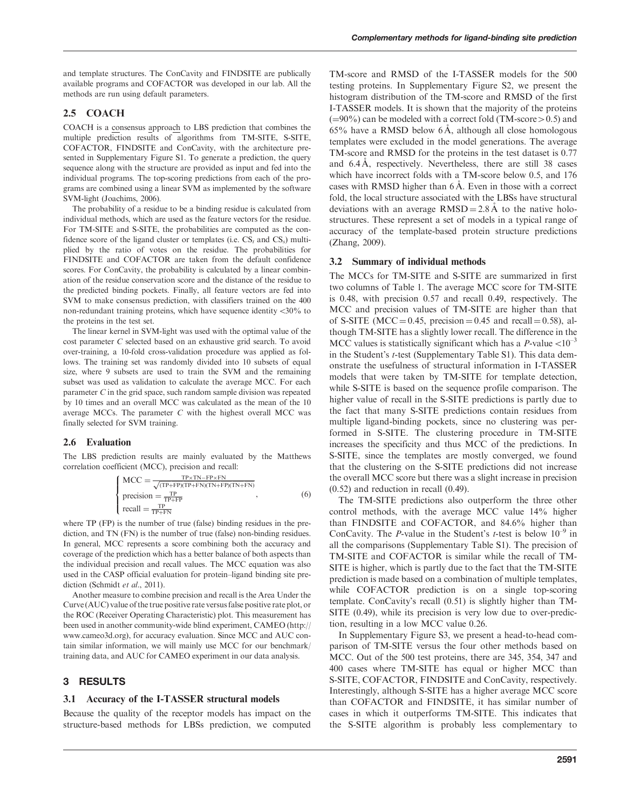and template structures. The ConCavity and FINDSITE are publically available programs and COFACTOR was developed in our lab. All the methods are run using default parameters.

# 2.5 COACH

COACH is a consensus approach to LBS prediction that combines the multiple prediction results of algorithms from TM-SITE, S-SITE, COFACTOR, FINDSITE and ConCavity, with the architecture presented in Supplementary Figure S1. To generate a prediction, the query sequence along with the structure are provided as input and fed into the individual programs. The top-scoring predictions from each of the programs are combined using a linear SVM as implemented by the software SVM-light [\(Joachims, 2006\)](#page-7-0).

The probability of a residue to be a binding residue is calculated from individual methods, which are used as the feature vectors for the residue. For TM-SITE and S-SITE, the probabilities are computed as the confidence score of the ligand cluster or templates (i.e.  $CS_t$  and  $CS_s$ ) multiplied by the ratio of votes on the residue. The probabilities for FINDSITE and COFACTOR are taken from the default confidence scores. For ConCavity, the probability is calculated by a linear combination of the residue conservation score and the distance of the residue to the predicted binding pockets. Finally, all feature vectors are fed into SVM to make consensus prediction, with classifiers trained on the 400 non-redundant training proteins, which have sequence identity  $<30\%$  to the proteins in the test set.

The linear kernel in SVM-light was used with the optimal value of the cost parameter C selected based on an exhaustive grid search. To avoid over-training, a 10-fold cross-validation procedure was applied as follows. The training set was randomly divided into 10 subsets of equal size, where 9 subsets are used to train the SVM and the remaining subset was used as validation to calculate the average MCC. For each parameter C in the grid space, such random sample division was repeated by 10 times and an overall MCC was calculated as the mean of the 10 average MCCs. The parameter  $C$  with the highest overall MCC was finally selected for SVM training.

### 2.6 Evaluation

The LBS prediction results are mainly evaluated by the Matthews correlation coefficient (MCC), precision and recall:

$$
\begin{cases}\n\text{MCC} = \frac{\text{TP} \times \text{TN} - \text{FP} \times \text{FN}}{\sqrt{(\text{TP} + \text{FP})(\text{TP} + \text{FN})(\text{TN} + \text{FP})(\text{TN} + \text{FN})}} \\
\text{precision} = \frac{\text{TP}}{\text{TP} + \text{FP}} \\
\text{recall} = \frac{\text{TP}}{\text{TP} + \text{FN}}\n\end{cases}
$$
\n(6)

where TP (FP) is the number of true (false) binding residues in the prediction, and TN (FN) is the number of true (false) non-binding residues. In general, MCC represents a score combining both the accuracy and coverage of the prediction which has a better balance of both aspects than the individual precision and recall values. The MCC equation was also used in the CASP official evaluation for protein–ligand binding site pre-diction ([Schmidt](#page-7-0) et al., 2011).

Another measure to combine precision and recall is the Area Under the Curve (AUC) value of the true positive rate versus false positive rate plot, or the ROC (Receiver Operating Characteristic) plot. This measurement has been used in another community-wide blind experiment, CAMEO (http:// www.cameo3d.org), for accuracy evaluation. Since MCC and AUC contain similar information, we will mainly use MCC for our benchmark/ training data, and AUC for CAMEO experiment in our data analysis.

### 3 RESULTS

#### 3.1 Accuracy of the I-TASSER structural models

Because the quality of the receptor models has impact on the structure-based methods for LBSs prediction, we computed

TM-score and RMSD of the I-TASSER models for the 500 testing proteins. In Supplementary Figure S2, we present the histogram distribution of the TM-score and RMSD of the first I-TASSER models. It is shown that the majority of the proteins  $(=90\%)$  can be modeled with a correct fold (TM-score  $> 0.5$ ) and  $65\%$  have a RMSD below  $6\AA$ , although all close homologous templates were excluded in the model generations. The average TM-score and RMSD for the proteins in the test dataset is 0.77 and  $6.4 \text{ Å}$ , respectively. Nevertheless, there are still 38 cases which have incorrect folds with a TM-score below 0.5, and 176 cases with RMSD higher than  $6\AA$ . Even in those with a correct fold, the local structure associated with the LBSs have structural deviations with an average  $RMSD = 2.8 \text{ Å}$  to the native holostructures. These represent a set of models in a typical range of accuracy of the template-based protein structure predictions ([Zhang, 2009\)](#page-7-0).

#### 3.2 Summary of individual methods

The MCCs for TM-SITE and S-SITE are summarized in first two columns of [Table 1.](#page-4-0) The average MCC score for TM-SITE is 0.48, with precision 0.57 and recall 0.49, respectively. The MCC and precision values of TM-SITE are higher than that of S-SITE (MCC = 0.45, precision = 0.45 and recall = 0.58), although TM-SITE has a slightly lower recall. The difference in the MCC values is statistically significant which has a P-value  $<10^{-3}$ in the Student's t-test (Supplementary Table S1). This data demonstrate the usefulness of structural information in I-TASSER models that were taken by TM-SITE for template detection, while S-SITE is based on the sequence profile comparison. The higher value of recall in the S-SITE predictions is partly due to the fact that many S-SITE predictions contain residues from multiple ligand-binding pockets, since no clustering was performed in S-SITE. The clustering procedure in TM-SITE increases the specificity and thus MCC of the predictions. In S-SITE, since the templates are mostly converged, we found that the clustering on the S-SITE predictions did not increase the overall MCC score but there was a slight increase in precision (0.52) and reduction in recall (0.49).

The TM-SITE predictions also outperform the three other control methods, with the average MCC value 14% higher than FINDSITE and COFACTOR, and 84.6% higher than ConCavity. The *P*-value in the Student's *t*-test is below  $10^{-9}$  in all the comparisons (Supplementary Table S1). The precision of TM-SITE and COFACTOR is similar while the recall of TM-SITE is higher, which is partly due to the fact that the TM-SITE prediction is made based on a combination of multiple templates, while COFACTOR prediction is on a single top-scoring template. ConCavity's recall (0.51) is slightly higher than TM-SITE (0.49), while its precision is very low due to over-prediction, resulting in a low MCC value 0.26.

In Supplementary Figure S3, we present a head-to-head comparison of TM-SITE versus the four other methods based on MCC. Out of the 500 test proteins, there are 345, 354, 347 and 400 cases where TM-SITE has equal or higher MCC than S-SITE, COFACTOR, FINDSITE and ConCavity, respectively. Interestingly, although S-SITE has a higher average MCC score than COFACTOR and FINDSITE, it has similar number of cases in which it outperforms TM-SITE. This indicates that the S-SITE algorithm is probably less complementary to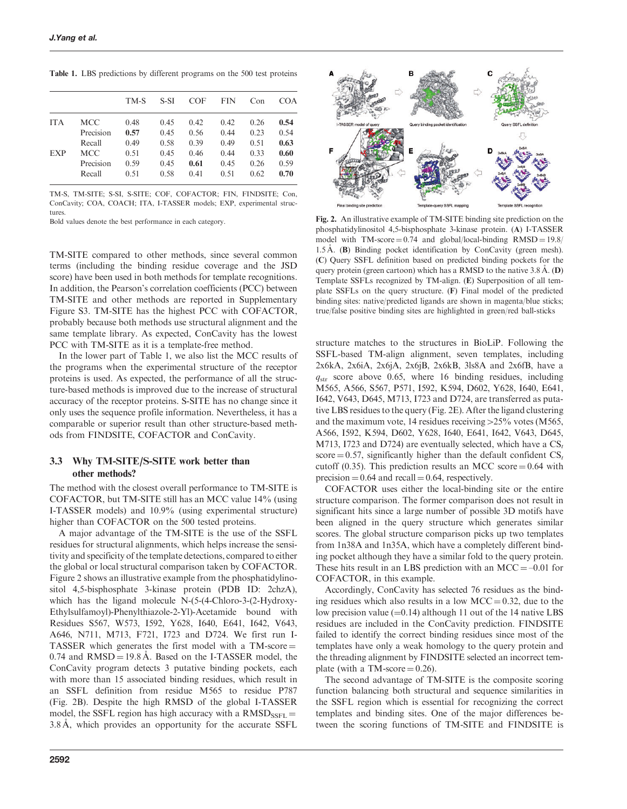<span id="page-4-0"></span>Table 1. LBS predictions by different programs on the 500 test proteins

|            |            | TM-S | S-SI | <b>COF</b> | <b>FIN</b> | Con  | <b>COA</b> |
|------------|------------|------|------|------------|------------|------|------------|
| <b>ITA</b> | <b>MCC</b> | 0.48 | 0.45 | 0.42       | 0.42       | 0.26 | 0.54       |
|            | Precision  | 0.57 | 0.45 | 0.56       | 0.44       | 0.23 | 0.54       |
|            | Recall     | 0.49 | 0.58 | 0.39       | 0.49       | 0.51 | 0.63       |
| <b>EXP</b> | <b>MCC</b> | 0.51 | 0.45 | 0.46       | 0.44       | 0.33 | 0.60       |
|            | Precision  | 0.59 | 0.45 | 0.61       | 0.45       | 0.26 | 0.59       |
|            | Recall     | 0.51 | 0.58 | 0.41       | 0.51       | 0.62 | 0.70       |

TM-S, TM-SITE; S-SI, S-SITE; COF, COFACTOR; FIN, FINDSITE; Con, ConCavity; COA, COACH; ITA, I-TASSER models; EXP, experimental structures.

Bold values denote the best performance in each category.

TM-SITE compared to other methods, since several common terms (including the binding residue coverage and the JSD score) have been used in both methods for template recognitions. In addition, the Pearson's correlation coefficients (PCC) between TM-SITE and other methods are reported in Supplementary Figure S3. TM-SITE has the highest PCC with COFACTOR, probably because both methods use structural alignment and the same template library. As expected, ConCavity has the lowest PCC with TM-SITE as it is a template-free method.

In the lower part of Table 1, we also list the MCC results of the programs when the experimental structure of the receptor proteins is used. As expected, the performance of all the structure-based methods is improved due to the increase of structural accuracy of the receptor proteins. S-SITE has no change since it only uses the sequence profile information. Nevertheless, it has a comparable or superior result than other structure-based methods from FINDSITE, COFACTOR and ConCavity.

# 3.3 Why TM-SITE/S-SITE work better than other methods?

The method with the closest overall performance to TM-SITE is COFACTOR, but TM-SITE still has an MCC value 14% (using I-TASSER models) and 10.9% (using experimental structure) higher than COFACTOR on the 500 tested proteins.

A major advantage of the TM-SITE is the use of the SSFL residues for structural alignments, which helps increase the sensitivity and specificity of the template detections, compared to either the global or local structural comparison taken by COFACTOR. Figure 2 shows an illustrative example from the phosphatidylinositol 4,5-bisphosphate 3-kinase protein (PDB ID: 2chzA), which has the ligand molecule N-(5-(4-Chloro-3-(2-Hydroxy-Ethylsulfamoyl)-Phenylthiazole-2-Yl)-Acetamide bound with Residues S567, W573, I592, Y628, I640, E641, I642, V643, A646, N711, M713, F721, I723 and D724. We first run I-TASSER which generates the first model with a  $TM\text{-score} =$  $0.74$  and  $RMSD = 19.8$  Å. Based on the I-TASSER model, the ConCavity program detects 3 putative binding pockets, each with more than 15 associated binding residues, which result in an SSFL definition from residue M565 to residue P787 (Fig. 2B). Despite the high RMSD of the global I-TASSER model, the SSFL region has high accuracy with a  $RMSD_{\text{SSFL}} =$ 3.8 A, which provides an opportunity for the accurate SSFL



Fig. 2. An illustrative example of TM-SITE binding site prediction on the phosphatidylinositol 4,5-bisphosphate 3-kinase protein. (A) I-TASSER model with TM-score  $= 0.74$  and global/local-binding RMSD  $= 19.8/$ 1.5 Å. (B) Binding pocket identification by ConCavity (green mesh). (C) Query SSFL definition based on predicted binding pockets for the query protein (green cartoon) which has a RMSD to the native  $3.8 \text{ Å}$ . (D) Template SSFLs recognized by TM-align. (E) Superposition of all template SSFLs on the query structure. (F) Final model of the predicted binding sites: native/predicted ligands are shown in magenta/blue sticks; true/false positive binding sites are highlighted in green/red ball-sticks

structure matches to the structures in BioLiP. Following the SSFL-based TM-align alignment, seven templates, including 2x6kA, 2x6iA, 2x6jA, 2x6jB, 2x6kB, 3ls8A and 2x6fB, have a  $q_{str}$  score above 0.65, where 16 binding residues, including M565, A566, S567, P571, I592, K594, D602, Y628, I640, E641, I642, V643, D645, M713, I723 and D724, are transferred as putative LBS residues to the query (Fig. 2E). After the ligand clustering and the maximum vote, 14 residues receiving  $>25\%$  votes (M565, A566, I592, K594, D602, Y628, I640, E641, I642, V643, D645, M713, I723 and D724) are eventually selected, which have a  $CS_t$ score  $= 0.57$ , significantly higher than the default confident  $CS_t$ cutoff (0.35). This prediction results an MCC score  $= 0.64$  with precision  $= 0.64$  and recall  $= 0.64$ , respectively.

COFACTOR uses either the local-binding site or the entire structure comparison. The former comparison does not result in significant hits since a large number of possible 3D motifs have been aligned in the query structure which generates similar scores. The global structure comparison picks up two templates from 1n38A and 1n35A, which have a completely different binding pocket although they have a similar fold to the query protein. These hits result in an LBS prediction with an  $MCC = -0.01$  for COFACTOR, in this example.

Accordingly, ConCavity has selected 76 residues as the binding residues which also results in a low  $MCC = 0.32$ , due to the low precision value  $(=0.14)$  although 11 out of the 14 native LBS residues are included in the ConCavity prediction. FINDSITE failed to identify the correct binding residues since most of the templates have only a weak homology to the query protein and the threading alignment by FINDSITE selected an incorrect template (with a TM-score  $= 0.26$ ).

The second advantage of TM-SITE is the composite scoring function balancing both structural and sequence similarities in the SSFL region which is essential for recognizing the correct templates and binding sites. One of the major differences between the scoring functions of TM-SITE and FINDSITE is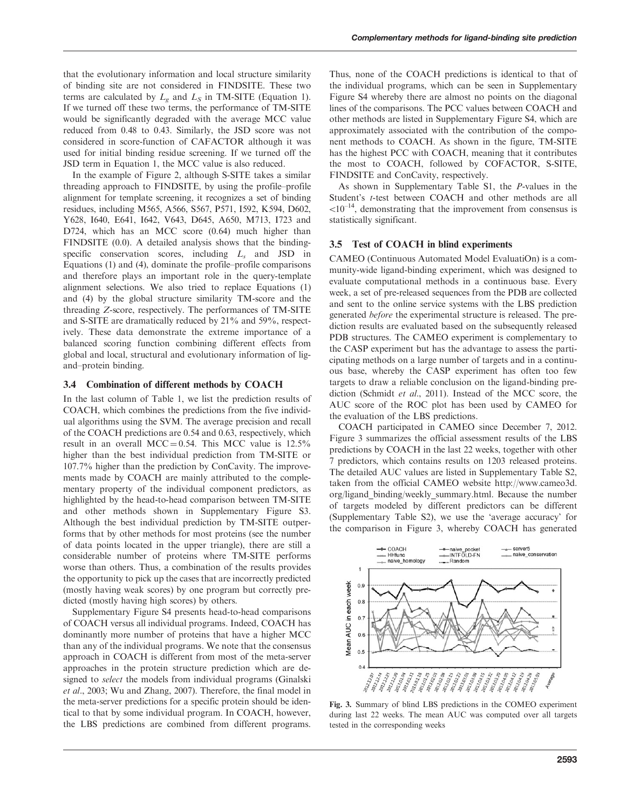<span id="page-5-0"></span>that the evolutionary information and local structure similarity of binding site are not considered in FINDSITE. These two terms are calculated by  $L_{\varphi}$  and  $L_{\varphi}$  in TM-SITE ([Equation 1\)](#page-1-0). If we turned off these two terms, the performance of TM-SITE would be significantly degraded with the average MCC value reduced from 0.48 to 0.43. Similarly, the JSD score was not considered in score-function of CAFACTOR although it was used for initial binding residue screening. If we turned off the JSD term in [Equation 1](#page-1-0), the MCC value is also reduced.

In the example of [Figure 2,](#page-4-0) although S-SITE takes a similar threading approach to FINDSITE, by using the profile–profile alignment for template screening, it recognizes a set of binding residues, including M565, A566, S567, P571, I592, K594, D602, Y628, I640, E641, I642, V643, D645, A650, M713, I723 and D724, which has an MCC score (0.64) much higher than FINDSITE (0.0). A detailed analysis shows that the bindingspecific conservation scores, including  $L<sub>s</sub>$  and JSD in [Equations \(1\)](#page-1-0) and [\(4\),](#page-2-0) dominate the profile–profile comparisons and therefore plays an important role in the query-template alignment selections. We also tried to replace [Equations \(1\)](#page-1-0) and [\(4\)](#page-2-0) by the global structure similarity TM-score and the threading Z-score, respectively. The performances of TM-SITE and S-SITE are dramatically reduced by 21% and 59%, respectively. These data demonstrate the extreme importance of a balanced scoring function combining different effects from global and local, structural and evolutionary information of ligand–protein binding.

#### 3.4 Combination of different methods by COACH

In the last column of [Table 1,](#page-4-0) we list the prediction results of COACH, which combines the predictions from the five individual algorithms using the SVM. The average precision and recall of the COACH predictions are 0.54 and 0.63, respectively, which result in an overall MCC = 0.54. This MCC value is  $12.5\%$ higher than the best individual prediction from TM-SITE or 107.7% higher than the prediction by ConCavity. The improvements made by COACH are mainly attributed to the complementary property of the individual component predictors, as highlighted by the head-to-head comparison between TM-SITE and other methods shown in Supplementary Figure S3. Although the best individual prediction by TM-SITE outperforms that by other methods for most proteins (see the number of data points located in the upper triangle), there are still a considerable number of proteins where TM-SITE performs worse than others. Thus, a combination of the results provides the opportunity to pick up the cases that are incorrectly predicted (mostly having weak scores) by one program but correctly predicted (mostly having high scores) by others.

Supplementary Figure S4 presents head-to-head comparisons of COACH versus all individual programs. Indeed, COACH has dominantly more number of proteins that have a higher MCC than any of the individual programs. We note that the consensus approach in COACH is different from most of the meta-server approaches in the protein structure prediction which are designed to select the models from individual programs [\(Ginalski](#page-7-0) et al.[, 2003; Wu and Zhang, 2007\)](#page-7-0). Therefore, the final model in the meta-server predictions for a specific protein should be identical to that by some individual program. In COACH, however, the LBS predictions are combined from different programs.

Thus, none of the COACH predictions is identical to that of the individual programs, which can be seen in Supplementary Figure S4 whereby there are almost no points on the diagonal lines of the comparisons. The PCC values between COACH and other methods are listed in Supplementary Figure S4, which are approximately associated with the contribution of the component methods to COACH. As shown in the figure, TM-SITE has the highest PCC with COACH, meaning that it contributes the most to COACH, followed by COFACTOR, S-SITE, FINDSITE and ConCavity, respectively.

As shown in Supplementary Table S1, the P-values in the Student's t-test between COACH and other methods are all  $510^{-14}$ , demonstrating that the improvement from consensus is statistically significant.

#### 3.5 Test of COACH in blind experiments

CAMEO (Continuous Automated Model EvaluatiOn) is a community-wide ligand-binding experiment, which was designed to evaluate computational methods in a continuous base. Every week, a set of pre-released sequences from the PDB are collected and sent to the online service systems with the LBS prediction generated before the experimental structure is released. The prediction results are evaluated based on the subsequently released PDB structures. The CAMEO experiment is complementary to the CASP experiment but has the advantage to assess the participating methods on a large number of targets and in a continuous base, whereby the CASP experiment has often too few targets to draw a reliable conclusion on the ligand-binding prediction ([Schmidt](#page-7-0) et al., 2011). Instead of the MCC score, the AUC score of the ROC plot has been used by CAMEO for the evaluation of the LBS predictions.

COACH participated in CAMEO since December 7, 2012. Figure 3 summarizes the official assessment results of the LBS predictions by COACH in the last 22 weeks, together with other 7 predictors, which contains results on 1203 released proteins. The detailed AUC values are listed in Supplementary Table S2, taken from the official CAMEO website http://www.cameo3d. org/ligand\_binding/weekly\_summary.html. Because the number of targets modeled by different predictors can be different (Supplementary Table S2), we use the 'average accuracy' for the comparison in Figure 3, whereby COACH has generated



Fig. 3. Summary of blind LBS predictions in the COMEO experiment during last 22 weeks. The mean AUC was computed over all targets tested in the corresponding weeks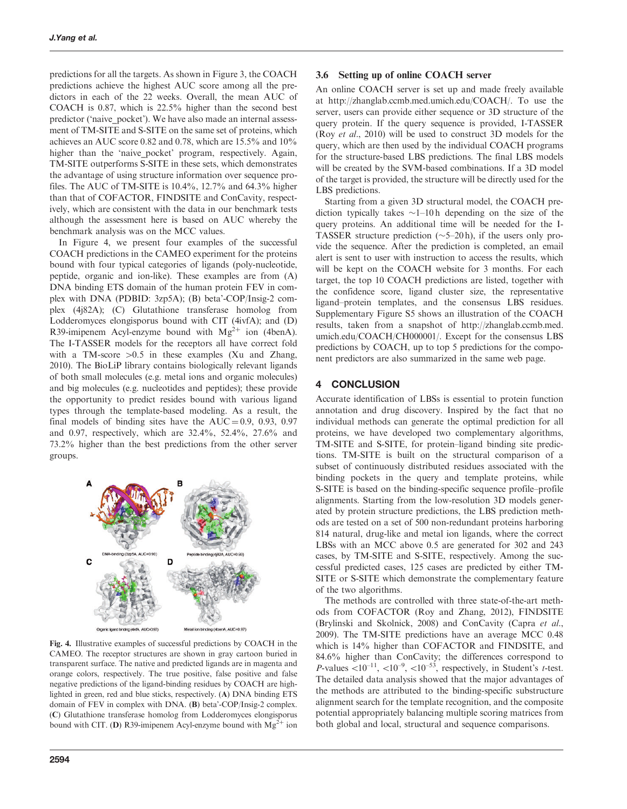predictions for all the targets. As shown in [Figure 3,](#page-5-0) the COACH predictions achieve the highest AUC score among all the predictors in each of the 22 weeks. Overall, the mean AUC of COACH is 0.87, which is 22.5% higher than the second best predictor ('naive\_pocket'). We have also made an internal assessment of TM-SITE and S-SITE on the same set of proteins, which achieves an AUC score 0.82 and 0.78, which are 15.5% and 10% higher than the 'naive pocket' program, respectively. Again, TM-SITE outperforms S-SITE in these sets, which demonstrates the advantage of using structure information over sequence profiles. The AUC of TM-SITE is  $10.4\%$ ,  $12.7\%$  and  $64.3\%$  higher than that of COFACTOR, FINDSITE and ConCavity, respectively, which are consistent with the data in our benchmark tests although the assessment here is based on AUC whereby the benchmark analysis was on the MCC values.

In Figure 4, we present four examples of the successful COACH predictions in the CAMEO experiment for the proteins bound with four typical categories of ligands (poly-nucleotide, peptide, organic and ion-like). These examples are from (A) DNA binding ETS domain of the human protein FEV in complex with DNA (PDBID: 3zp5A); (B) beta'-COP/Insig-2 complex (4j82A); (C) Glutathione transferase homolog from Lodderomyces elongisporus bound with CIT (4ivfA); and (D) R39-imipenem Acyl-enzyme bound with  $Mg^{2+}$  ion (4benA). The I-TASSER models for the receptors all have correct fold with a TM-score  $>0.5$  in these examples [\(Xu and Zhang,](#page-7-0) [2010\)](#page-7-0). The BioLiP library contains biologically relevant ligands of both small molecules (e.g. metal ions and organic molecules) and big molecules (e.g. nucleotides and peptides); these provide the opportunity to predict resides bound with various ligand types through the template-based modeling. As a result, the final models of binding sites have the  $AUC = 0.9, 0.93, 0.97$ and 0.97, respectively, which are 32.4%, 52.4%, 27.6% and 73.2% higher than the best predictions from the other server groups.



Fig. 4. Illustrative examples of successful predictions by COACH in the CAMEO. The receptor structures are shown in gray cartoon buried in transparent surface. The native and predicted ligands are in magenta and orange colors, respectively. The true positive, false positive and false negative predictions of the ligand-binding residues by COACH are highlighted in green, red and blue sticks, respectively. (A) DNA binding ETS domain of FEV in complex with DNA. (B) beta'-COP/Insig-2 complex. (C) Glutathione transferase homolog from Lodderomyces elongisporus bound with CIT. (D) R39-imipenem Acyl-enzyme bound with  $Mg^{2+}$  ion

#### 3.6 Setting up of online COACH server

An online COACH server is set up and made freely available at http://zhanglab.ccmb.med.umich.edu/COACH/. To use the server, users can provide either sequence or 3D structure of the query protein. If the query sequence is provided, I-TASSER (Roy et al.[, 2010\)](#page-7-0) will be used to construct 3D models for the query, which are then used by the individual COACH programs for the structure-based LBS predictions. The final LBS models will be created by the SVM-based combinations. If a 3D model of the target is provided, the structure will be directly used for the LBS predictions.

Starting from a given 3D structural model, the COACH prediction typically takes  $\sim$  1–10 h depending on the size of the query proteins. An additional time will be needed for the I-TASSER structure prediction  $(\sim 5-20 h)$ , if the users only provide the sequence. After the prediction is completed, an email alert is sent to user with instruction to access the results, which will be kept on the COACH website for 3 months. For each target, the top 10 COACH predictions are listed, together with the confidence score, ligand cluster size, the representative ligand–protein templates, and the consensus LBS residues. Supplementary Figure S5 shows an illustration of the COACH results, taken from a snapshot of http://zhanglab.ccmb.med. umich.edu/COACH/CH000001/. Except for the consensus LBS predictions by COACH, up to top 5 predictions for the component predictors are also summarized in the same web page.

## 4 CONCLUSION

Accurate identification of LBSs is essential to protein function annotation and drug discovery. Inspired by the fact that no individual methods can generate the optimal prediction for all proteins, we have developed two complementary algorithms, TM-SITE and S-SITE, for protein–ligand binding site predictions. TM-SITE is built on the structural comparison of a subset of continuously distributed residues associated with the binding pockets in the query and template proteins, while S-SITE is based on the binding-specific sequence profile–profile alignments. Starting from the low-resolution 3D models generated by protein structure predictions, the LBS prediction methods are tested on a set of 500 non-redundant proteins harboring 814 natural, drug-like and metal ion ligands, where the correct LBSs with an MCC above 0.5 are generated for 302 and 243 cases, by TM-SITE and S-SITE, respectively. Among the successful predicted cases, 125 cases are predicted by either TM-SITE or S-SITE which demonstrate the complementary feature of the two algorithms.

The methods are controlled with three state-of-the-art methods from COFACTOR [\(Roy and Zhang, 2012\)](#page-7-0), FINDSITE [\(Brylinski and Skolnick, 2008](#page-7-0)) and ConCavity ([Capra](#page-7-0) et al., [2009\)](#page-7-0). The TM-SITE predictions have an average MCC 0.48 which is 14% higher than COFACTOR and FINDSITE, and 84.6% higher than ConCavity; the differences correspond to P-values  $< 10^{-11}$ ,  $< 10^{-9}$ ,  $< 10^{-53}$ , respectively, in Student's t-test. The detailed data analysis showed that the major advantages of the methods are attributed to the binding-specific substructure alignment search for the template recognition, and the composite potential appropriately balancing multiple scoring matrices from both global and local, structural and sequence comparisons.